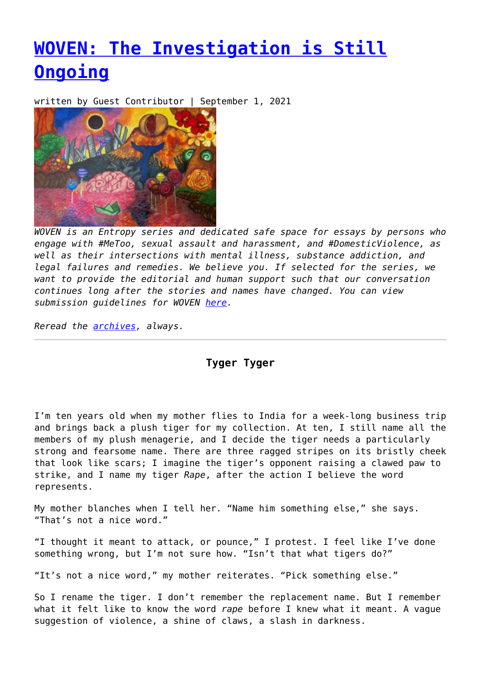# **[WOVEN: The Investigation is Still](https://entropymag.org/woven-the-investigation-is-still-ongoing/) [Ongoing](https://entropymag.org/woven-the-investigation-is-still-ongoing/)**

written by Guest Contributor | September 1, 2021



*WOVEN is an Entropy series and dedicated safe space for essays by persons who engage with #MeToo, sexual assault and harassment, and #DomesticViolence, as well as their intersections with mental illness, substance addiction, and legal failures and remedies. We believe you. If selected for the series, we want to provide the editorial and human support such that our conversation continues long after the stories and names have changed. You can view submission guidelines for WOVEN [here.](https://entropymag.org/woven-call-for-submissions/)*

*Reread the [archives](https://entropymag.org/tag/woven/), always.* 

**Tyger Tyger**

I'm ten years old when my mother flies to India for a week-long business trip and brings back a plush tiger for my collection. At ten, I still name all the members of my plush menagerie, and I decide the tiger needs a particularly strong and fearsome name. There are three ragged stripes on its bristly cheek that look like scars; I imagine the tiger's opponent raising a clawed paw to strike, and I name my tiger *Rape*, after the action I believe the word represents.

My mother blanches when I tell her. "Name him something else," she says. "That's not a nice word."

"I thought it meant to attack, or pounce," I protest. I feel like I've done something wrong, but I'm not sure how. "Isn't that what tigers do?"

"It's not a nice word," my mother reiterates. "Pick something else."

So I rename the tiger. I don't remember the replacement name. But I remember what it felt like to know the word *rape* before I knew what it meant. A vague suggestion of violence, a shine of claws, a slash in darkness.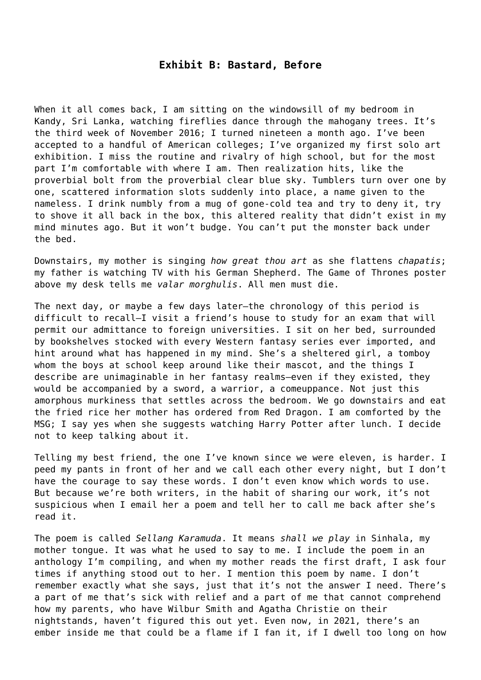#### **Exhibit B: Bastard, Before**

When it all comes back, I am sitting on the windowsill of my bedroom in Kandy, Sri Lanka, watching fireflies dance through the mahogany trees. It's the third week of November 2016; I turned nineteen a month ago. I've been accepted to a handful of American colleges; I've organized my first solo art exhibition. I miss the routine and rivalry of high school, but for the most part I'm comfortable with where I am. Then realization hits, like the proverbial bolt from the proverbial clear blue sky. Tumblers turn over one by one, scattered information slots suddenly into place, a name given to the nameless. I drink numbly from a mug of gone-cold tea and try to deny it, try to shove it all back in the box, this altered reality that didn't exist in my mind minutes ago. But it won't budge. You can't put the monster back under the bed.

Downstairs, my mother is singing *how great thou art* as she flattens *chapatis*; my father is watching TV with his German Shepherd. The Game of Thrones poster above my desk tells me *valar morghulis*. All men must die.

The next day, or maybe a few days later–the chronology of this period is difficult to recall–I visit a friend's house to study for an exam that will permit our admittance to foreign universities. I sit on her bed, surrounded by bookshelves stocked with every Western fantasy series ever imported, and hint around what has happened in my mind. She's a sheltered girl, a tomboy whom the boys at school keep around like their mascot, and the things I describe are unimaginable in her fantasy realms–even if they existed, they would be accompanied by a sword, a warrior, a comeuppance. Not just this amorphous murkiness that settles across the bedroom. We go downstairs and eat the fried rice her mother has ordered from Red Dragon. I am comforted by the MSG; I say yes when she suggests watching Harry Potter after lunch. I decide not to keep talking about it.

Telling my best friend, the one I've known since we were eleven, is harder. I peed my pants in front of her and we call each other every night, but I don't have the courage to say these words. I don't even know which words to use. But because we're both writers, in the habit of sharing our work, it's not suspicious when I email her a poem and tell her to call me back after she's read it.

The poem is called *Sellang Karamuda*. It means *shall we play* in Sinhala, my mother tongue. It was what he used to say to me. I include the poem in an anthology I'm compiling, and when my mother reads the first draft, I ask four times if anything stood out to her. I mention this poem by name. I don't remember exactly what she says, just that it's not the answer I need. There's a part of me that's sick with relief and a part of me that cannot comprehend how my parents, who have Wilbur Smith and Agatha Christie on their nightstands, haven't figured this out yet. Even now, in 2021, there's an ember inside me that could be a flame if I fan it, if I dwell too long on how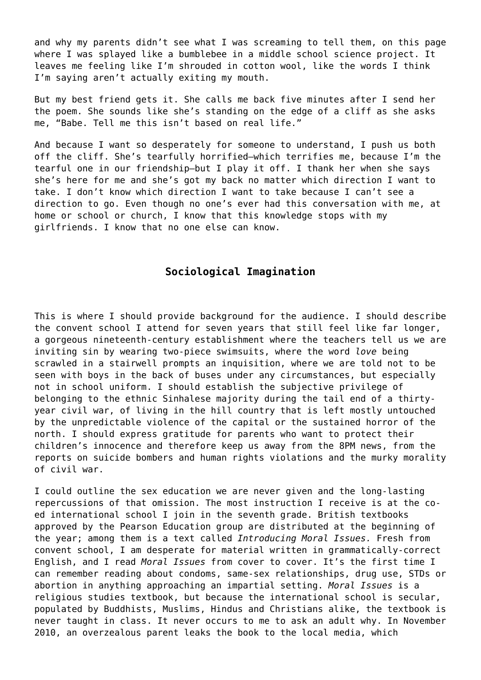and why my parents didn't see what I was screaming to tell them, on this page where I was splayed like a bumblebee in a middle school science project. It leaves me feeling like I'm shrouded in cotton wool, like the words I think I'm saying aren't actually exiting my mouth.

But my best friend gets it. She calls me back five minutes after I send her the poem. She sounds like she's standing on the edge of a cliff as she asks me, "Babe. Tell me this isn't based on real life."

And because I want so desperately for someone to understand, I push us both off the cliff. She's tearfully horrified–which terrifies me, because I'm the tearful one in our friendship–but I play it off. I thank her when she says she's here for me and she's got my back no matter which direction I want to take. I don't know which direction I want to take because I can't see a direction to go. Even though no one's ever had this conversation with me, at home or school or church, I know that this knowledge stops with my girlfriends. I know that no one else can know.

## **Sociological Imagination**

This is where I should provide background for the audience. I should describe the convent school I attend for seven years that still feel like far longer, a gorgeous nineteenth-century establishment where the teachers tell us we are inviting sin by wearing two-piece swimsuits, where the word *love* being scrawled in a stairwell prompts an inquisition, where we are told not to be seen with boys in the back of buses under any circumstances, but especially not in school uniform. I should establish the subjective privilege of belonging to the ethnic Sinhalese majority during the tail end of a thirtyyear civil war, of living in the hill country that is left mostly untouched by the unpredictable violence of the capital or the sustained horror of the north. I should express gratitude for parents who want to protect their children's innocence and therefore keep us away from the 8PM news, from the reports on suicide bombers and human rights violations and the murky morality of civil war.

I could outline the sex education we are never given and the long-lasting repercussions of that omission. The most instruction I receive is at the coed international school I join in the seventh grade. British textbooks approved by the Pearson Education group are distributed at the beginning of the year; among them is a text called *Introducing Moral Issues.* Fresh from convent school, I am desperate for material written in grammatically-correct English, and I read *Moral Issues* from cover to cover. It's the first time I can remember reading about condoms, same-sex relationships, drug use, STDs or abortion in anything approaching an impartial setting. *Moral Issues* is a religious studies textbook, but because the international school is secular, populated by Buddhists, Muslims, Hindus and Christians alike, the textbook is never taught in class. It never occurs to me to ask an adult why. In November 2010, an overzealous parent leaks the book to the local media, which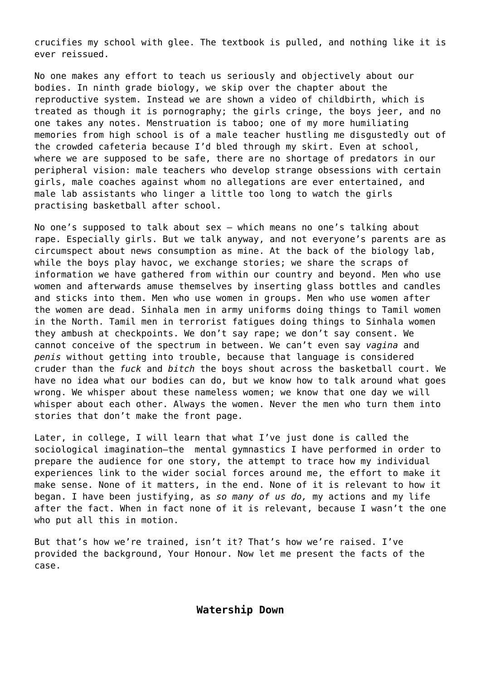crucifies my school with glee. The textbook is pulled, and nothing like it is ever reissued.

No one makes any effort to teach us seriously and objectively about our bodies. In ninth grade biology, we skip over the chapter about the reproductive system. Instead we are shown a video of childbirth, which is treated as though it is pornography; the girls cringe, the boys jeer, and no one takes any notes. Menstruation is taboo; one of my more humiliating memories from high school is of a male teacher hustling me disgustedly out of the crowded cafeteria because I'd bled through my skirt. Even at school, where we are supposed to be safe, there are no shortage of predators in our peripheral vision: male teachers who develop strange obsessions with certain girls, male coaches against whom no allegations are ever entertained, and male lab assistants who linger a little too long to watch the girls practising basketball after school.

No one's supposed to talk about sex – which means no one's talking about rape. Especially girls. But we talk anyway, and not everyone's parents are as circumspect about news consumption as mine. At the back of the biology lab, while the boys play havoc, we exchange stories; we share the scraps of information we have gathered from within our country and beyond. Men who use women and afterwards amuse themselves by inserting glass bottles and candles and sticks into them. Men who use women in groups. Men who use women after the women are dead. Sinhala men in army uniforms doing things to Tamil women in the North. Tamil men in terrorist fatigues doing things to Sinhala women they ambush at checkpoints. We don't say rape; we don't say consent. We cannot conceive of the spectrum in between. We can't even say *vagina* and *penis* without getting into trouble, because that language is considered cruder than the *fuck* and *bitch* the boys shout across the basketball court. We have no idea what our bodies can do, but we know how to talk around what goes wrong. We whisper about these nameless women; we know that one day we will whisper about each other. Always the women. Never the men who turn them into stories that don't make the front page.

Later, in college, I will learn that what I've just done is called the sociological imagination–the mental gymnastics I have performed in order to prepare the audience for one story, the attempt to trace how my individual experiences link to the wider social forces around me, the effort to make it make sense. None of it matters, in the end. None of it is relevant to how it began. I have been justifying, as *so many of us do,* my actions and my life after the fact. When in fact none of it is relevant, because I wasn't the one who put all this in motion.

But that's how we're trained, isn't it? That's how we're raised. I've provided the background, Your Honour. Now let me present the facts of the case.

**Watership Down**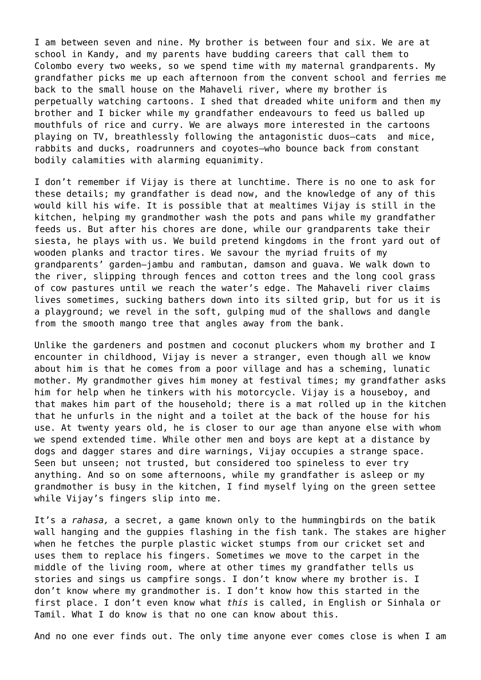I am between seven and nine. My brother is between four and six. We are at school in Kandy, and my parents have budding careers that call them to Colombo every two weeks, so we spend time with my maternal grandparents. My grandfather picks me up each afternoon from the convent school and ferries me back to the small house on the Mahaveli river, where my brother is perpetually watching cartoons. I shed that dreaded white uniform and then my brother and I bicker while my grandfather endeavours to feed us balled up mouthfuls of rice and curry. We are always more interested in the cartoons playing on TV, breathlessly following the antagonistic duos–cats and mice, rabbits and ducks, roadrunners and coyotes–who bounce back from constant bodily calamities with alarming equanimity.

I don't remember if Vijay is there at lunchtime. There is no one to ask for these details; my grandfather is dead now, and the knowledge of any of this would kill his wife. It is possible that at mealtimes Vijay is still in the kitchen, helping my grandmother wash the pots and pans while my grandfather feeds us. But after his chores are done, while our grandparents take their siesta, he plays with us. We build pretend kingdoms in the front yard out of wooden planks and tractor tires. We savour the myriad fruits of my grandparents' garden–jambu and rambutan, damson and guava. We walk down to the river, slipping through fences and cotton trees and the long cool grass of cow pastures until we reach the water's edge. The Mahaveli river claims lives sometimes, sucking bathers down into its silted grip, but for us it is a playground; we revel in the soft, gulping mud of the shallows and dangle from the smooth mango tree that angles away from the bank.

Unlike the gardeners and postmen and coconut pluckers whom my brother and I encounter in childhood, Vijay is never a stranger, even though all we know about him is that he comes from a poor village and has a scheming, lunatic mother. My grandmother gives him money at festival times; my grandfather asks him for help when he tinkers with his motorcycle. Vijay is a houseboy, and that makes him part of the household; there is a mat rolled up in the kitchen that he unfurls in the night and a toilet at the back of the house for his use. At twenty years old, he is closer to our age than anyone else with whom we spend extended time. While other men and boys are kept at a distance by dogs and dagger stares and dire warnings, Vijay occupies a strange space. Seen but unseen; not trusted, but considered too spineless to ever try anything. And so on some afternoons, while my grandfather is asleep or my grandmother is busy in the kitchen, I find myself lying on the green settee while Vijay's fingers slip into me.

It's a *rahasa,* a secret, a game known only to the hummingbirds on the batik wall hanging and the guppies flashing in the fish tank. The stakes are higher when he fetches the purple plastic wicket stumps from our cricket set and uses them to replace his fingers. Sometimes we move to the carpet in the middle of the living room, where at other times my grandfather tells us stories and sings us campfire songs. I don't know where my brother is. I don't know where my grandmother is. I don't know how this started in the first place. I don't even know what *this* is called, in English or Sinhala or Tamil. What I do know is that no one can know about this.

And no one ever finds out. The only time anyone ever comes close is when I am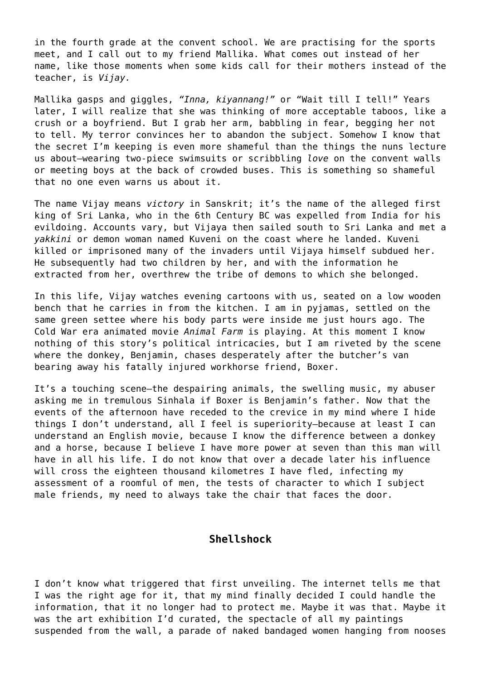in the fourth grade at the convent school. We are practising for the sports meet, and I call out to my friend Mallika. What comes out instead of her name, like those moments when some kids call for their mothers instead of the teacher, is *Vijay.*

Mallika gasps and giggles, *"Inna, kiyannang!"* or "Wait till I tell!" Years later, I will realize that she was thinking of more acceptable taboos, like a crush or a boyfriend. But I grab her arm, babbling in fear, begging her not to tell. My terror convinces her to abandon the subject. Somehow I know that the secret I'm keeping is even more shameful than the things the nuns lecture us about–wearing two-piece swimsuits or scribbling *love* on the convent walls or meeting boys at the back of crowded buses. This is something so shameful that no one even warns us about it.

The name Vijay means *victory* in Sanskrit; it's the name of the alleged first king of Sri Lanka, who in the 6th Century BC was expelled from India for his evildoing. Accounts vary, but Vijaya then sailed south to Sri Lanka and met a *yakkini* or demon woman named Kuveni on the coast where he landed. Kuveni killed or imprisoned many of the invaders until Vijaya himself subdued her. He subsequently had two children by her, and with the information he extracted from her, overthrew the tribe of demons to which she belonged.

In this life, Vijay watches evening cartoons with us, seated on a low wooden bench that he carries in from the kitchen. I am in pyjamas, settled on the same green settee where his body parts were inside me just hours ago. The Cold War era animated movie *Animal Farm* is playing. At this moment I know nothing of this story's political intricacies, but I am riveted by the scene where the donkey, Benjamin, chases desperately after the butcher's van bearing away his fatally injured workhorse friend, Boxer.

It's a touching scene–the despairing animals, the swelling music, my abuser asking me in tremulous Sinhala if Boxer is Benjamin's father. Now that the events of the afternoon have receded to the crevice in my mind where I hide things I don't understand, all I feel is superiority–because at least I can understand an English movie, because I know the difference between a donkey and a horse, because I believe I have more power at seven than this man will have in all his life. I do not know that over a decade later his influence will cross the eighteen thousand kilometres I have fled, infecting my assessment of a roomful of men, the tests of character to which I subject male friends, my need to always take the chair that faces the door.

## **Shellshock**

I don't know what triggered that first unveiling. The internet tells me that I was the right age for it, that my mind finally decided I could handle the information, that it no longer had to protect me. Maybe it was that. Maybe it was the art exhibition I'd curated, the spectacle of all my paintings suspended from the wall, a parade of naked bandaged women hanging from nooses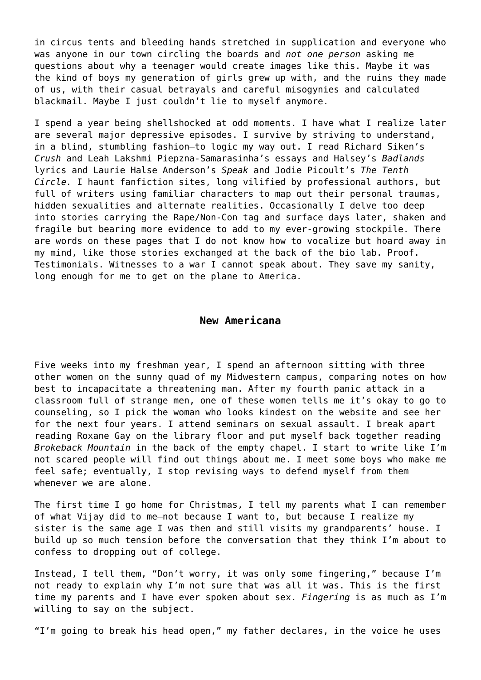in circus tents and bleeding hands stretched in supplication and everyone who was anyone in our town circling the boards and *not one person* asking me questions about why a teenager would create images like this. Maybe it was the kind of boys my generation of girls grew up with, and the ruins they made of us, with their casual betrayals and careful misogynies and calculated blackmail. Maybe I just couldn't lie to myself anymore.

I spend a year being shellshocked at odd moments. I have what I realize later are several major depressive episodes. I survive by striving to understand, in a blind, stumbling fashion–to logic my way out. I read Richard Siken's *Crush* and Leah Lakshmi Piepzna-Samarasinha's essays and Halsey's *Badlands* lyrics and Laurie Halse Anderson's *Speak* and Jodie Picoult's *The Tenth Circle.* I haunt fanfiction sites, long vilified by professional authors, but full of writers using familiar characters to map out their personal traumas, hidden sexualities and alternate realities. Occasionally I delve too deep into stories carrying the Rape/Non-Con tag and surface days later, shaken and fragile but bearing more evidence to add to my ever-growing stockpile. There are words on these pages that I do not know how to vocalize but hoard away in my mind, like those stories exchanged at the back of the bio lab. Proof. Testimonials. Witnesses to a war I cannot speak about. They save my sanity, long enough for me to get on the plane to America.

#### **New Americana**

Five weeks into my freshman year, I spend an afternoon sitting with three other women on the sunny quad of my Midwestern campus, comparing notes on how best to incapacitate a threatening man. After my fourth panic attack in a classroom full of strange men, one of these women tells me it's okay to go to counseling, so I pick the woman who looks kindest on the website and see her for the next four years. I attend seminars on sexual assault. I break apart reading Roxane Gay on the library floor and put myself back together reading *Brokeback Mountain* in the back of the empty chapel. I start to write like I'm not scared people will find out things about me. I meet some boys who make me feel safe; eventually, I stop revising ways to defend myself from them whenever we are alone.

The first time I go home for Christmas, I tell my parents what I can remember of what Vijay did to me–not because I want to, but because I realize my sister is the same age I was then and still visits my grandparents' house. I build up so much tension before the conversation that they think I'm about to confess to dropping out of college.

Instead, I tell them, "Don't worry, it was only some fingering," because I'm not ready to explain why I'm not sure that was all it was. This is the first time my parents and I have ever spoken about sex. *Fingering* is as much as I'm willing to say on the subject.

"I'm going to break his head open," my father declares, in the voice he uses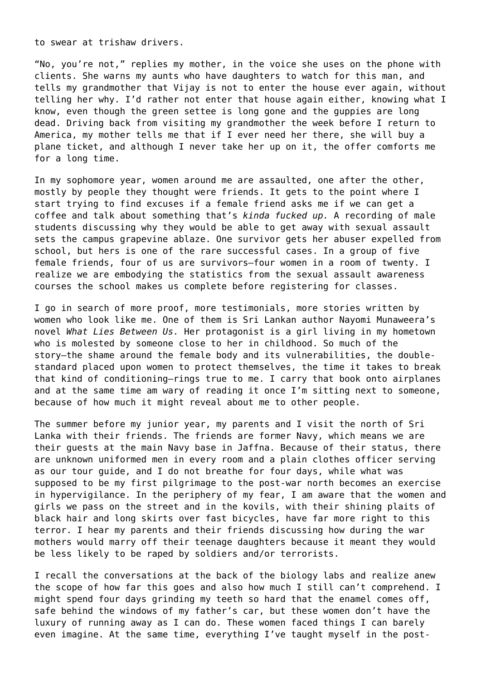to swear at trishaw drivers.

"No, you're not," replies my mother, in the voice she uses on the phone with clients. She warns my aunts who have daughters to watch for this man, and tells my grandmother that Vijay is not to enter the house ever again, without telling her why. I'd rather not enter that house again either, knowing what I know, even though the green settee is long gone and the guppies are long dead. Driving back from visiting my grandmother the week before I return to America, my mother tells me that if I ever need her there, she will buy a plane ticket, and although I never take her up on it, the offer comforts me for a long time.

In my sophomore year, women around me are assaulted, one after the other, mostly by people they thought were friends. It gets to the point where I start trying to find excuses if a female friend asks me if we can get a coffee and talk about something that's *kinda fucked up.* A recording of male students discussing why they would be able to get away with sexual assault sets the campus grapevine ablaze. One survivor gets her abuser expelled from school, but hers is one of the rare successful cases. In a group of five female friends, four of us are survivors–four women in a room of twenty. I realize we are embodying the statistics from the sexual assault awareness courses the school makes us complete before registering for classes.

I go in search of more proof, more testimonials, more stories written by women who look like me. One of them is Sri Lankan author Nayomi Munaweera's novel *What Lies Between Us.* Her protagonist is a girl living in my hometown who is molested by someone close to her in childhood. So much of the story–the shame around the female body and its vulnerabilities, the doublestandard placed upon women to protect themselves, the time it takes to break that kind of conditioning–rings true to me. I carry that book onto airplanes and at the same time am wary of reading it once I'm sitting next to someone, because of how much it might reveal about me to other people.

The summer before my junior year, my parents and I visit the north of Sri Lanka with their friends. The friends are former Navy, which means we are their guests at the main Navy base in Jaffna. Because of their status, there are unknown uniformed men in every room and a plain clothes officer serving as our tour guide, and I do not breathe for four days, while what was supposed to be my first pilgrimage to the post-war north becomes an exercise in hypervigilance. In the periphery of my fear, I am aware that the women and girls we pass on the street and in the kovils, with their shining plaits of black hair and long skirts over fast bicycles, have far more right to this terror. I hear my parents and their friends discussing how during the war mothers would marry off their teenage daughters because it meant they would be less likely to be raped by soldiers and/or terrorists.

I recall the conversations at the back of the biology labs and realize anew the scope of how far this goes and also how much I still can't comprehend. I might spend four days grinding my teeth so hard that the enamel comes off, safe behind the windows of my father's car, but these women don't have the luxury of running away as I can do. These women faced things I can barely even imagine. At the same time, everything I've taught myself in the post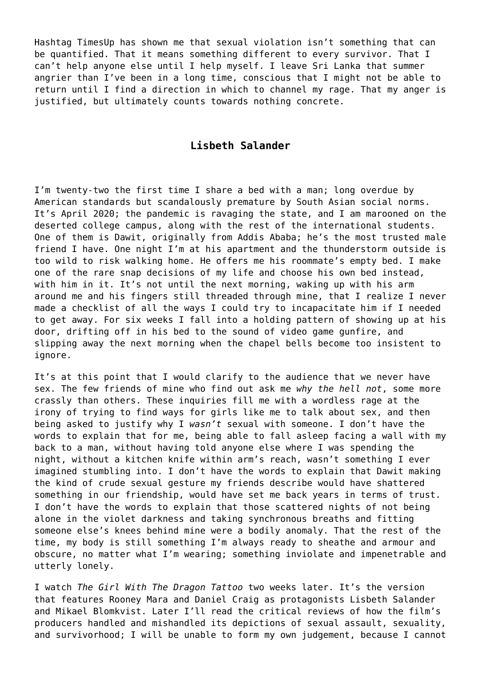Hashtag TimesUp has shown me that sexual violation isn't something that can be quantified. That it means something different to every survivor. That I can't help anyone else until I help myself. I leave Sri Lanka that summer angrier than I've been in a long time, conscious that I might not be able to return until I find a direction in which to channel my rage. That my anger is justified, but ultimately counts towards nothing concrete.

## **Lisbeth Salander**

I'm twenty-two the first time I share a bed with a man; long overdue by American standards but scandalously premature by South Asian social norms. It's April 2020; the pandemic is ravaging the state, and I am marooned on the deserted college campus, along with the rest of the international students. One of them is Dawit, originally from Addis Ababa; he's the most trusted male friend I have. One night I'm at his apartment and the thunderstorm outside is too wild to risk walking home. He offers me his roommate's empty bed. I make one of the rare snap decisions of my life and choose his own bed instead, with him in it. It's not until the next morning, waking up with his arm around me and his fingers still threaded through mine, that I realize I never made a checklist of all the ways I could try to incapacitate him if I needed to get away. For six weeks I fall into a holding pattern of showing up at his door, drifting off in his bed to the sound of video game gunfire, and slipping away the next morning when the chapel bells become too insistent to ignore.

It's at this point that I would clarify to the audience that we never have sex. The few friends of mine who find out ask me *why the hell not*, some more crassly than others. These inquiries fill me with a wordless rage at the irony of trying to find ways for girls like me to talk about sex, and then being asked to justify why I *wasn't* sexual with someone. I don't have the words to explain that for me, being able to fall asleep facing a wall with my back to a man, without having told anyone else where I was spending the night, without a kitchen knife within arm's reach, wasn't something I ever imagined stumbling into. I don't have the words to explain that Dawit making the kind of crude sexual gesture my friends describe would have shattered something in our friendship, would have set me back years in terms of trust. I don't have the words to explain that those scattered nights of not being alone in the violet darkness and taking synchronous breaths and fitting someone else's knees behind mine were a bodily anomaly. That the rest of the time, my body is still something I'm always ready to sheathe and armour and obscure, no matter what I'm wearing; something inviolate and impenetrable and utterly lonely.

I watch *The Girl With The Dragon Tattoo* two weeks later. It's the version that features Rooney Mara and Daniel Craig as protagonists Lisbeth Salander and Mikael Blomkvist. Later I'll read the critical reviews of how the film's producers handled and mishandled its depictions of sexual assault, sexuality, and survivorhood; I will be unable to form my own judgement, because I cannot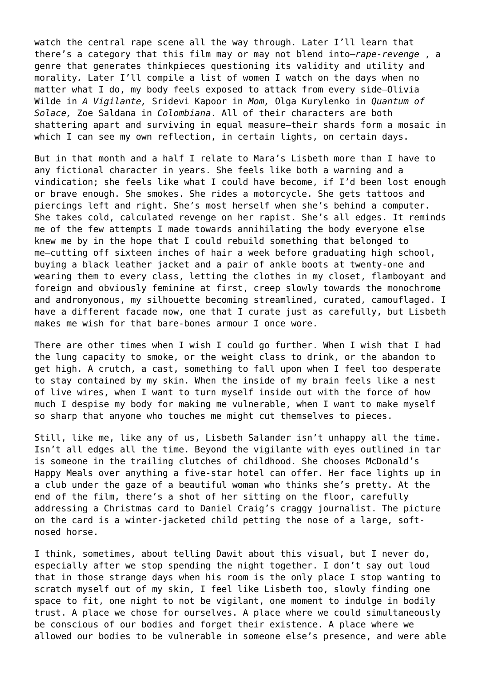watch the central rape scene all the way through. Later I'll learn that there's a category that this film may or may not blend into–*rape-revenge* , a genre that generates thinkpieces questioning its validity and utility and morality*.* Later I'll compile a list of women I watch on the days when no matter what I do, my body feels exposed to attack from every side–Olivia Wilde in *A Vigilante,* Sridevi Kapoor in *Mom,* Olga Kurylenko in *Quantum of Solace,* Zoe Saldana in *Colombiana*. All of their characters are both shattering apart and surviving in equal measure–their shards form a mosaic in which I can see my own reflection, in certain lights, on certain days.

But in that month and a half I relate to Mara's Lisbeth more than I have to any fictional character in years. She feels like both a warning and a vindication; she feels like what I could have become, if I'd been lost enough or brave enough. She smokes. She rides a motorcycle. She gets tattoos and piercings left and right. She's most herself when she's behind a computer. She takes cold, calculated revenge on her rapist. She's all edges. It reminds me of the few attempts I made towards annihilating the body everyone else knew me by in the hope that I could rebuild something that belonged to me–cutting off sixteen inches of hair a week before graduating high school, buying a black leather jacket and a pair of ankle boots at twenty-one and wearing them to every class, letting the clothes in my closet, flamboyant and foreign and obviously feminine at first, creep slowly towards the monochrome and andronyonous, my silhouette becoming streamlined, curated, camouflaged. I have a different facade now, one that I curate just as carefully, but Lisbeth makes me wish for that bare-bones armour I once wore.

There are other times when I wish I could go further. When I wish that I had the lung capacity to smoke, or the weight class to drink, or the abandon to get high. A crutch, a cast, something to fall upon when I feel too desperate to stay contained by my skin. When the inside of my brain feels like a nest of live wires, when I want to turn myself inside out with the force of how much I despise my body for making me vulnerable, when I want to make myself so sharp that anyone who touches me might cut themselves to pieces.

Still, like me, like any of us, Lisbeth Salander isn't unhappy all the time. Isn't all edges all the time. Beyond the vigilante with eyes outlined in tar is someone in the trailing clutches of childhood. She chooses McDonald's Happy Meals over anything a five-star hotel can offer. Her face lights up in a club under the gaze of a beautiful woman who thinks she's pretty. At the end of the film, there's a shot of her sitting on the floor, carefully addressing a Christmas card to Daniel Craig's craggy journalist. The picture on the card is a winter-jacketed child petting the nose of a large, softnosed horse.

I think, sometimes, about telling Dawit about this visual, but I never do, especially after we stop spending the night together. I don't say out loud that in those strange days when his room is the only place I stop wanting to scratch myself out of my skin, I feel like Lisbeth too, slowly finding one space to fit, one night to not be vigilant, one moment to indulge in bodily trust. A place we chose for ourselves. A place where we could simultaneously be conscious of our bodies and forget their existence. A place where we allowed our bodies to be vulnerable in someone else's presence, and were able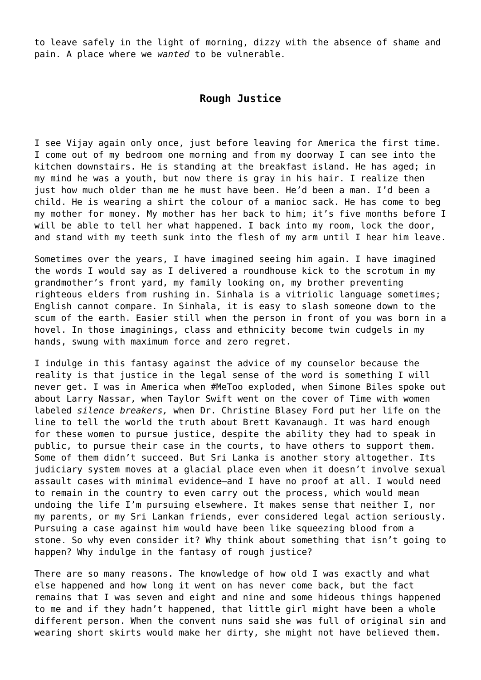to leave safely in the light of morning, dizzy with the absence of shame and pain. A place where we *wanted* to be vulnerable.

## **Rough Justice**

I see Vijay again only once, just before leaving for America the first time. I come out of my bedroom one morning and from my doorway I can see into the kitchen downstairs. He is standing at the breakfast island. He has aged; in my mind he was a youth, but now there is gray in his hair. I realize then just how much older than me he must have been. He'd been a man. I'd been a child. He is wearing a shirt the colour of a manioc sack. He has come to beg my mother for money. My mother has her back to him; it's five months before I will be able to tell her what happened. I back into my room, lock the door, and stand with my teeth sunk into the flesh of my arm until I hear him leave.

Sometimes over the years, I have imagined seeing him again. I have imagined the words I would say as I delivered a roundhouse kick to the scrotum in my grandmother's front yard, my family looking on, my brother preventing righteous elders from rushing in. Sinhala is a vitriolic language sometimes; English cannot compare. In Sinhala, it is easy to slash someone down to the scum of the earth. Easier still when the person in front of you was born in a hovel. In those imaginings, class and ethnicity become twin cudgels in my hands, swung with maximum force and zero regret.

I indulge in this fantasy against the advice of my counselor because the reality is that justice in the legal sense of the word is something I will never get. I was in America when #MeToo exploded, when Simone Biles spoke out about Larry Nassar, when Taylor Swift went on the cover of Time with women labeled *silence breakers,* when Dr. Christine Blasey Ford put her life on the line to tell the world the truth about Brett Kavanaugh. It was hard enough for these women to pursue justice, despite the ability they had to speak in public, to pursue their case in the courts, to have others to support them. Some of them didn't succeed. But Sri Lanka is another story altogether. Its judiciary system moves at a glacial place even when it doesn't involve sexual assault cases with minimal evidence–and I have no proof at all. I would need to remain in the country to even carry out the process, which would mean undoing the life I'm pursuing elsewhere. It makes sense that neither I, nor my parents, or my Sri Lankan friends, ever considered legal action seriously. Pursuing a case against him would have been like squeezing blood from a stone. So why even consider it? Why think about something that isn't going to happen? Why indulge in the fantasy of rough justice?

There are so many reasons. The knowledge of how old I was exactly and what else happened and how long it went on has never come back, but the fact remains that I was seven and eight and nine and some hideous things happened to me and if they hadn't happened, that little girl might have been a whole different person. When the convent nuns said she was full of original sin and wearing short skirts would make her dirty, she might not have believed them.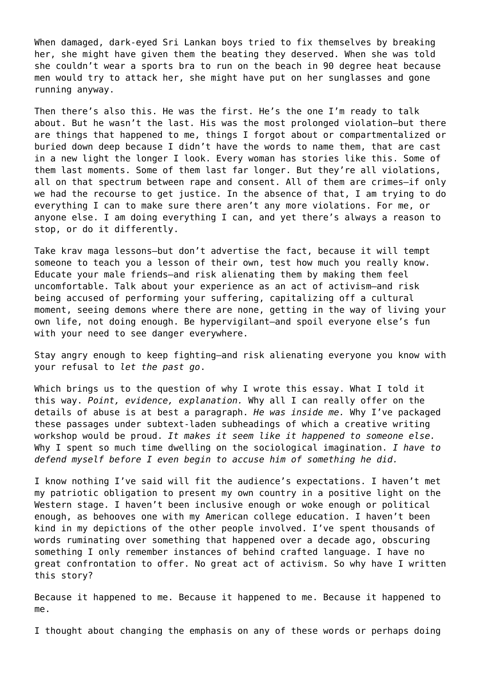When damaged, dark-eyed Sri Lankan boys tried to fix themselves by breaking her, she might have given them the beating they deserved. When she was told she couldn't wear a sports bra to run on the beach in 90 degree heat because men would try to attack her, she might have put on her sunglasses and gone running anyway.

Then there's also this. He was the first. He's the one I'm ready to talk about. But he wasn't the last. His was the most prolonged violation–but there are things that happened to me, things I forgot about or compartmentalized or buried down deep because I didn't have the words to name them, that are cast in a new light the longer I look. Every woman has stories like this. Some of them last moments. Some of them last far longer. But they're all violations, all on that spectrum between rape and consent. All of them are crimes–if only we had the recourse to get justice. In the absence of that, I am trying to do everything I can to make sure there aren't any more violations. For me, or anyone else. I am doing everything I can, and yet there's always a reason to stop, or do it differently.

Take krav maga lessons–but don't advertise the fact, because it will tempt someone to teach you a lesson of their own, test how much you really know. Educate your male friends–and risk alienating them by making them feel uncomfortable. Talk about your experience as an act of activism–and risk being accused of performing your suffering, capitalizing off a cultural moment, seeing demons where there are none, getting in the way of living your own life, not doing enough. Be hypervigilant–and spoil everyone else's fun with your need to see danger everywhere.

Stay angry enough to keep fighting–and risk alienating everyone you know with your refusal to *let the past go*.

Which brings us to the question of why I wrote this essay. What I told it this way. *Point, evidence, explanation.* Why all I can really offer on the details of abuse is at best a paragraph. *He was inside me.* Why I've packaged these passages under subtext-laden subheadings of which a creative writing workshop would be proud. *It makes it seem like it happened to someone else.* Why I spent so much time dwelling on the sociological imagination. *I have to defend myself before I even begin to accuse him of something he did.*

I know nothing I've said will fit the audience's expectations. I haven't met my patriotic obligation to present my own country in a positive light on the Western stage. I haven't been inclusive enough or woke enough or political enough, as behooves one with my American college education. I haven't been kind in my depictions of the other people involved. I've spent thousands of words ruminating over something that happened over a decade ago, obscuring something I only remember instances of behind crafted language. I have no great confrontation to offer. No great act of activism. So why have I written this story?

Because it happened to me. Because it happened to me. Because it happened to me.

I thought about changing the emphasis on any of these words or perhaps doing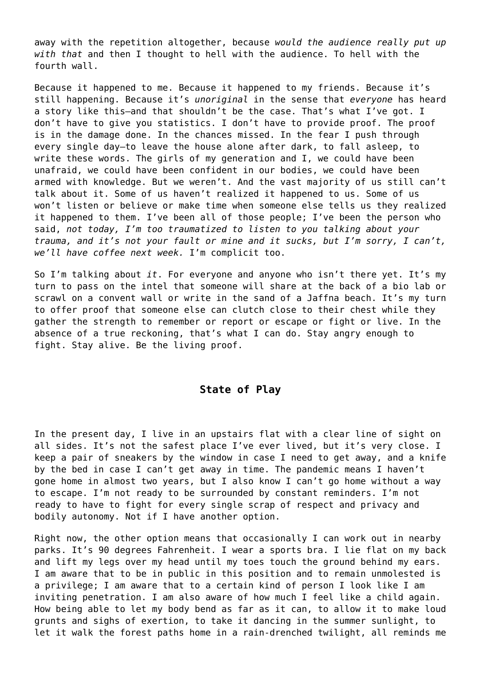away with the repetition altogether, because *would the audience really put up with that* and then I thought to hell with the audience. To hell with the fourth wall.

Because it happened to me. Because it happened to my friends. Because it's still happening. Because it's *unoriginal* in the sense that *everyone* has heard a story like this–and that shouldn't be the case. That's what I've got. I don't have to give you statistics. I don't have to provide proof. The proof is in the damage done. In the chances missed. In the fear I push through every single day–to leave the house alone after dark, to fall asleep, to write these words. The girls of my generation and I, we could have been unafraid, we could have been confident in our bodies, we could have been armed with knowledge. But we weren't. And the vast majority of us still can't talk about it. Some of us haven't realized it happened to us. Some of us won't listen or believe or make time when someone else tells us they realized it happened to them. I've been all of those people; I've been the person who said, *not today, I'm too traumatized to listen to you talking about your trauma, and it's not your fault or mine and it sucks, but I'm sorry, I can't, we'll have coffee next week.* I'm complicit too.

So I'm talking about *it*. For everyone and anyone who isn't there yet. It's my turn to pass on the intel that someone will share at the back of a bio lab or scrawl on a convent wall or write in the sand of a Jaffna beach. It's my turn to offer proof that someone else can clutch close to their chest while they gather the strength to remember or report or escape or fight or live. In the absence of a true reckoning, that's what I can do. Stay angry enough to fight. Stay alive. Be the living proof.

## **State of Play**

In the present day, I live in an upstairs flat with a clear line of sight on all sides. It's not the safest place I've ever lived, but it's very close. I keep a pair of sneakers by the window in case I need to get away, and a knife by the bed in case I can't get away in time. The pandemic means I haven't gone home in almost two years, but I also know I can't go home without a way to escape. I'm not ready to be surrounded by constant reminders. I'm not ready to have to fight for every single scrap of respect and privacy and bodily autonomy. Not if I have another option.

Right now, the other option means that occasionally I can work out in nearby parks. It's 90 degrees Fahrenheit. I wear a sports bra. I lie flat on my back and lift my legs over my head until my toes touch the ground behind my ears. I am aware that to be in public in this position and to remain unmolested is a privilege; I am aware that to a certain kind of person I look like I am inviting penetration. I am also aware of how much I feel like a child again. How being able to let my body bend as far as it can, to allow it to make loud grunts and sighs of exertion, to take it dancing in the summer sunlight, to let it walk the forest paths home in a rain-drenched twilight, all reminds me